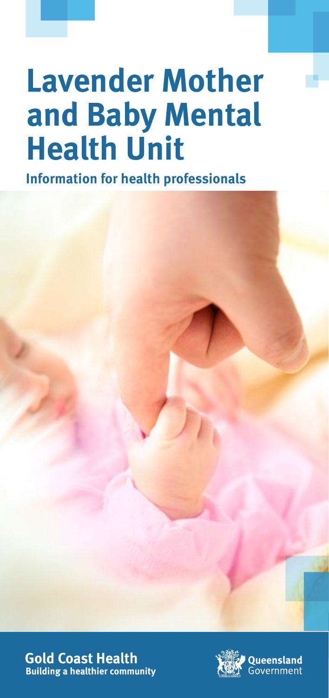# **Lavender Mother and Baby Mental Health Unit**

**Information for health professionals**





**Oueensland Government**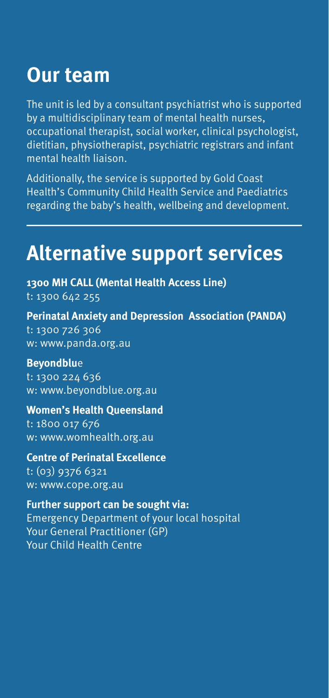### **Our team**

The unit is led by a consultant psychiatrist who is supported by a multidisciplinary team of mental health nurses, occupational therapist, social worker, clinical psychologist, dietitian, physiotherapist, psychiatric registrars and infant mental health liaison.

Additionally, the service is supported by Gold Coast Health's Community Child Health Service and Paediatrics regarding the baby's health, wellbeing and development.

### **Alternative support services**

**1300 MH CALL (Mental Health Access Line)** t: 1300 642 255

**Perinatal Anxiety and Depression Association (PANDA)** t: 1300 726 306 w: www.panda.org.au

#### **Beyondblu**e

t: 1300 224 636 w: www.beyondblue.org.au

#### **Women's Health Queensland**

t: 1800 017 676 w: www.womhealth.org.au

#### **Centre of Perinatal Excellence** t: (03) 9376 6321

w: www.cope.org.au

#### **Further support can be sought via:** Emergency Department of your local hospital Your General Practitioner (GP)

Your Child Health Centre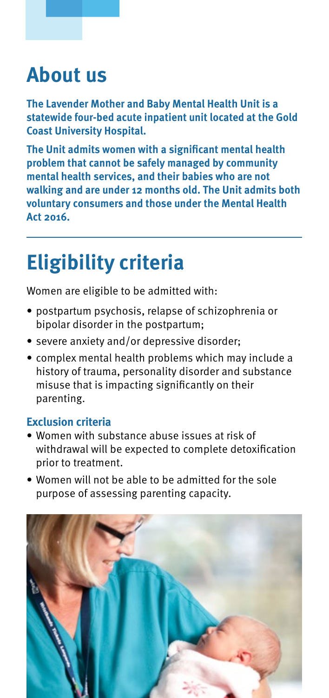### **About us**

**The Lavender Mother and Baby Mental Health Unit is a statewide four-bed acute inpatient unit located at the Gold Coast University Hospital.**

**The Unit admits women with a significant mental health problem that cannot be safely managed by community mental health services, and their babies who are not walking and are under 12 months old. The Unit admits both voluntary consumers and those under the Mental Health Act 2016.**

## **Eligibility criteria**

Women are eligible to be admitted with:

- postpartum psychosis, relapse of schizophrenia or bipolar disorder in the postpartum;
- severe anxiety and/or depressive disorder;
- complex mental health problems which may include a history of trauma, personality disorder and substance misuse that is impacting significantly on their parenting.

### **Exclusion criteria**

- Women with substance abuse issues at risk of withdrawal will be expected to complete detoxification prior to treatment.
- Women will not be able to be admitted for the sole purpose of assessing parenting capacity.

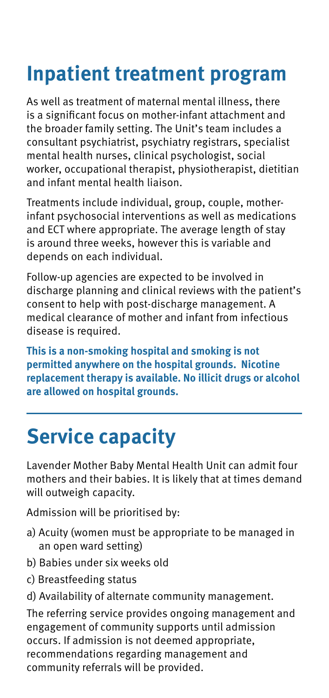# **Inpatient treatment program**

As well as treatment of maternal mental illness, there is a significant focus on mother-infant attachment and the broader family setting. The Unit's team includes a consultant psychiatrist, psychiatry registrars, specialist mental health nurses, clinical psychologist, social worker, occupational therapist, physiotherapist, dietitian and infant mental health liaison.

Treatments include individual, group, couple, motherinfant psychosocial interventions as well as medications and ECT where appropriate. The average length of stay is around three weeks, however this is variable and depends on each individual.

Follow-up agencies are expected to be involved in discharge planning and clinical reviews with the patient's consent to help with post-discharge management. A medical clearance of mother and infant from infectious disease is required.

**This is a non-smoking hospital and smoking is not permitted anywhere on the hospital grounds. Nicotine replacement therapy is available. No illicit drugs or alcohol are allowed on hospital grounds.**

## **Service capacity**

Lavender Mother Baby Mental Health Unit can admit four mothers and their babies. It is likely that at times demand will outweigh capacity.

Admission will be prioritised by:

- a) Acuity (women must be appropriate to be managed in an open ward setting)
- b) Babies under six weeks old
- c) Breastfeeding status
- d) Availability of alternate community management.

The referring service provides ongoing management and engagement of community supports until admission occurs. If admission is not deemed appropriate, recommendations regarding management and community referrals will be provided.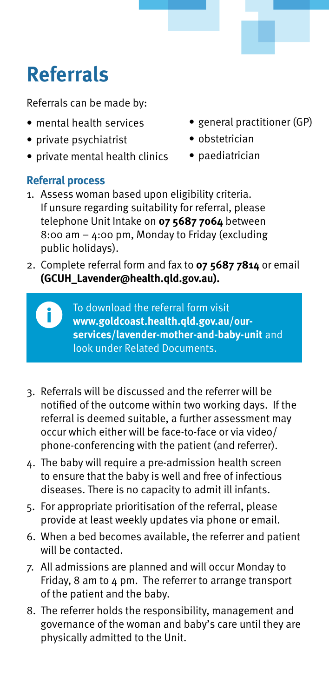# **Referrals**

Referrals can be made by:

- mental health services
- private psychiatrist
- private mental health clinics

### **Referral process**

- general practitioner (GP)
- obstetrician
- paediatrician
- 1. Assess woman based upon eligibility criteria. If unsure regarding suitability for referral, please telephone Unit Intake on **07 5687 7064** between 8:00 am – 4:00 pm, Monday to Friday (excluding public holidays).
- 2. Complete referral form and fax to **07 5687 7814** or email **(GCUH\_Lavender@health.qld.gov.au).**

To download the referral form visit **www.goldcoast.health.qld.gov.au/ourservices/lavender-mother-and-baby-unit** and look under Related Documents.

- 3. Referrals will be discussed and the referrer will be notified of the outcome within two working days. If the referral is deemed suitable, a further assessment may occur which either will be face-to-face or via video/ phone-conferencing with the patient (and referrer).
- 4. The baby will require a pre-admission health screen to ensure that the baby is well and free of infectious diseases. There is no capacity to admit ill infants.
- 5. For appropriate prioritisation of the referral, please provide at least weekly updates via phone or email.
- 6. When a bed becomes available, the referrer and patient will be contacted.
- 7. All admissions are planned and will occur Monday to Friday, 8 am to 4 pm. The referrer to arrange transport of the patient and the baby.
- 8. The referrer holds the responsibility, management and governance of the woman and baby's care until they are physically admitted to the Unit.